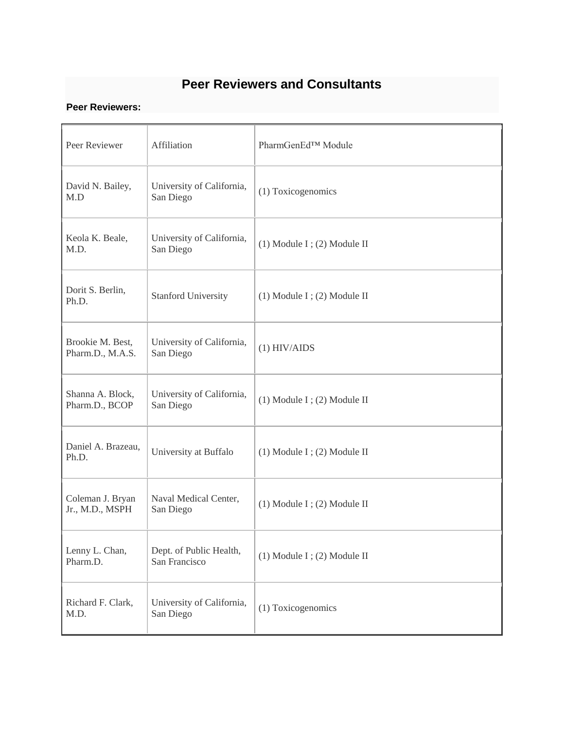## **Peer Reviewers and Consultants**

## **Peer Reviewers:**

| Peer Reviewer                        | Affiliation                              | PharmGenEd <sup>™</sup> Module  |
|--------------------------------------|------------------------------------------|---------------------------------|
| David N. Bailey,<br>M.D              | University of California,<br>San Diego   | (1) Toxicogenomics              |
| Keola K. Beale,<br>M.D.              | University of California,<br>San Diego   | $(1)$ Module I; $(2)$ Module II |
| Dorit S. Berlin,<br>Ph.D.            | <b>Stanford University</b>               | $(1)$ Module I; $(2)$ Module II |
| Brookie M. Best,<br>Pharm.D., M.A.S. | University of California,<br>San Diego   | $(1)$ HIV/AIDS                  |
| Shanna A. Block,<br>Pharm.D., BCOP   | University of California,<br>San Diego   | $(1)$ Module I; $(2)$ Module II |
| Daniel A. Brazeau,<br>Ph.D.          | University at Buffalo                    | $(1)$ Module I; $(2)$ Module II |
| Coleman J. Bryan<br>Jr., M.D., MSPH  | Naval Medical Center,<br>San Diego       | $(1)$ Module I; $(2)$ Module II |
| Lenny L. Chan,<br>Pharm.D.           | Dept. of Public Health,<br>San Francisco | $(1)$ Module I; $(2)$ Module II |
| Richard F. Clark,<br>M.D.            | University of California,<br>San Diego   | (1) Toxicogenomics              |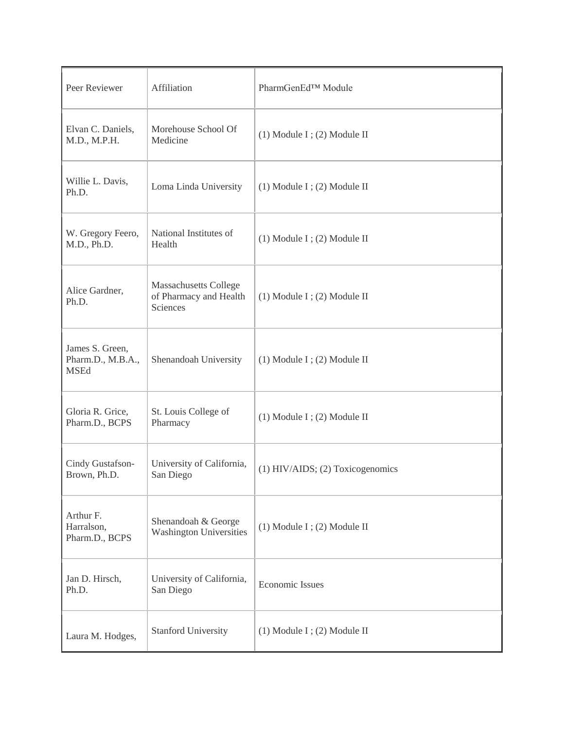| Peer Reviewer                                       | Affiliation                                                        | PharmGenEd <sup>™</sup> Module   |
|-----------------------------------------------------|--------------------------------------------------------------------|----------------------------------|
| Elvan C. Daniels,<br>M.D., M.P.H.                   | Morehouse School Of<br>Medicine                                    | $(1)$ Module I; $(2)$ Module II  |
| Willie L. Davis,<br>Ph.D.                           | Loma Linda University                                              | $(1)$ Module I; $(2)$ Module II  |
| W. Gregory Feero,<br>M.D., Ph.D.                    | National Institutes of<br>Health                                   | $(1)$ Module I; $(2)$ Module II  |
| Alice Gardner,<br>Ph.D.                             | <b>Massachusetts College</b><br>of Pharmacy and Health<br>Sciences | $(1)$ Module I; $(2)$ Module II  |
| James S. Green,<br>Pharm.D., M.B.A.,<br><b>MSEd</b> | Shenandoah University                                              | $(1)$ Module I; $(2)$ Module II  |
| Gloria R. Grice,<br>Pharm.D., BCPS                  | St. Louis College of<br>Pharmacy                                   | $(1)$ Module I; $(2)$ Module II  |
| Cindy Gustafson-<br>Brown, Ph.D.                    | University of California,<br>San Diego                             | (1) HIV/AIDS; (2) Toxicogenomics |
| Arthur F.<br>Harralson,<br>Pharm.D., BCPS           | Shenandoah & George<br><b>Washington Universities</b>              | $(1)$ Module I; $(2)$ Module II  |
| Jan D. Hirsch,<br>Ph.D.                             | University of California,<br>San Diego                             | <b>Economic Issues</b>           |
| Laura M. Hodges,                                    | <b>Stanford University</b>                                         | $(1)$ Module I; $(2)$ Module II  |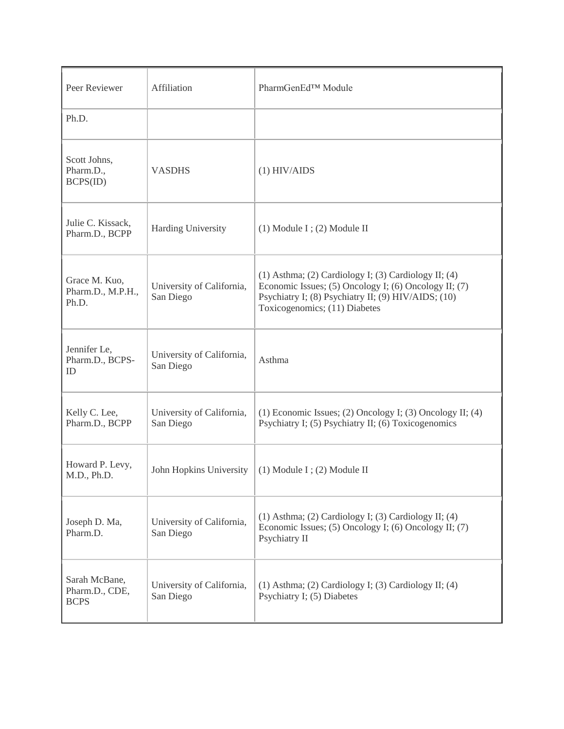| Peer Reviewer                                  | Affiliation                            | PharmGenEd™ Module                                                                                                                                                                                            |
|------------------------------------------------|----------------------------------------|---------------------------------------------------------------------------------------------------------------------------------------------------------------------------------------------------------------|
| Ph.D.                                          |                                        |                                                                                                                                                                                                               |
| Scott Johns,<br>Pharm.D.,<br>BCPS(ID)          | <b>VASDHS</b>                          | $(1)$ HIV/AIDS                                                                                                                                                                                                |
| Julie C. Kissack,<br>Pharm.D., BCPP            | <b>Harding University</b>              | $(1)$ Module I; $(2)$ Module II                                                                                                                                                                               |
| Grace M. Kuo,<br>Pharm.D., M.P.H.,<br>Ph.D.    | University of California,<br>San Diego | $(1)$ Asthma; $(2)$ Cardiology I; $(3)$ Cardiology II; $(4)$<br>Economic Issues; (5) Oncology I; (6) Oncology II; (7)<br>Psychiatry I; (8) Psychiatry II; (9) HIV/AIDS; (10)<br>Toxicogenomics; (11) Diabetes |
| Jennifer Le,<br>Pharm.D., BCPS-<br>ID          | University of California,<br>San Diego | Asthma                                                                                                                                                                                                        |
| Kelly C. Lee,<br>Pharm.D., BCPP                | University of California,<br>San Diego | (1) Economic Issues; (2) Oncology I; (3) Oncology II; (4)<br>Psychiatry I; (5) Psychiatry II; (6) Toxicogenomics                                                                                              |
| Howard P. Levy,<br>M.D., Ph.D.                 | John Hopkins University                | $(1)$ Module I; $(2)$ Module II                                                                                                                                                                               |
| Joseph D. Ma,<br>Pharm.D.                      | University of California,<br>San Diego | $(1)$ Asthma; $(2)$ Cardiology I; $(3)$ Cardiology II; $(4)$<br>Economic Issues; (5) Oncology I; (6) Oncology II; (7)<br>Psychiatry II                                                                        |
| Sarah McBane,<br>Pharm.D., CDE,<br><b>BCPS</b> | University of California,<br>San Diego | $(1)$ Asthma; $(2)$ Cardiology I; $(3)$ Cardiology II; $(4)$<br>Psychiatry I; (5) Diabetes                                                                                                                    |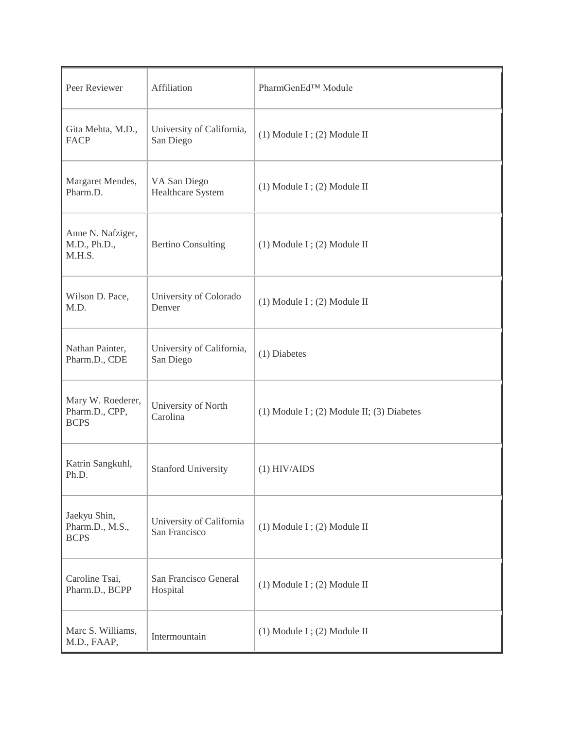| Peer Reviewer                                      | Affiliation                               | PharmGenEd <sup>™</sup> Module                  |
|----------------------------------------------------|-------------------------------------------|-------------------------------------------------|
| Gita Mehta, M.D.,<br><b>FACP</b>                   | University of California,<br>San Diego    | $(1)$ Module I; $(2)$ Module II                 |
| Margaret Mendes,<br>Pharm.D.                       | VA San Diego<br><b>Healthcare System</b>  | $(1)$ Module I; $(2)$ Module II                 |
| Anne N. Nafziger,<br>M.D., Ph.D.,<br>M.H.S.        | <b>Bertino Consulting</b>                 | $(1)$ Module I; $(2)$ Module II                 |
| Wilson D. Pace,<br>M.D.                            | University of Colorado<br>Denver          | $(1)$ Module I; $(2)$ Module II                 |
| Nathan Painter,<br>Pharm.D., CDE                   | University of California,<br>San Diego    | (1) Diabetes                                    |
| Mary W. Roederer,<br>Pharm.D., CPP,<br><b>BCPS</b> | University of North<br>Carolina           | $(1)$ Module I; $(2)$ Module II; $(3)$ Diabetes |
| Katrin Sangkuhl,<br>Ph.D.                          | <b>Stanford University</b>                | $(1)$ HIV/AIDS                                  |
| Jaekyu Shin,<br>Pharm.D., M.S.,<br><b>BCPS</b>     | University of California<br>San Francisco | $(1)$ Module I; $(2)$ Module II                 |
| Caroline Tsai,<br>Pharm.D., BCPP                   | San Francisco General<br>Hospital         | $(1)$ Module I; $(2)$ Module II                 |
| Marc S. Williams,<br>M.D., FAAP,                   | Intermountain                             | $(1)$ Module I; $(2)$ Module II                 |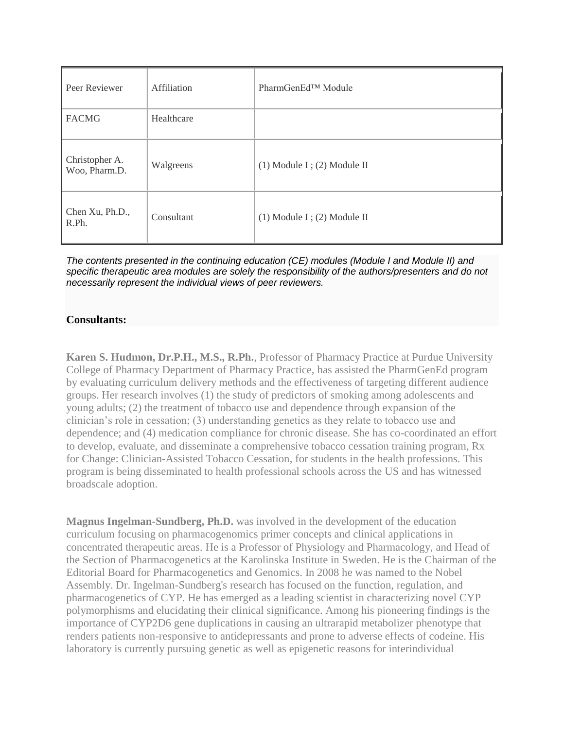| Peer Reviewer                   | Affiliation | PharmGenEd <sup>™</sup> Module  |
|---------------------------------|-------------|---------------------------------|
| <b>FACMG</b>                    | Healthcare  |                                 |
| Christopher A.<br>Woo, Pharm.D. | Walgreens   | $(1)$ Module I; $(2)$ Module II |
| Chen Xu, Ph.D.,<br>R.Ph.        | Consultant  | $(1)$ Module I; $(2)$ Module II |

*The contents presented in the continuing education (CE) modules (Module I and Module II) and specific therapeutic area modules are solely the responsibility of the authors/presenters and do not necessarily represent the individual views of peer reviewers.*

## **Consultants:**

**Karen S. Hudmon, Dr.P.H., M.S., R.Ph.**, Professor of Pharmacy Practice at Purdue University College of Pharmacy Department of Pharmacy Practice, has assisted the PharmGenEd program by evaluating curriculum delivery methods and the effectiveness of targeting different audience groups. Her research involves (1) the study of predictors of smoking among adolescents and young adults; (2) the treatment of tobacco use and dependence through expansion of the clinician's role in cessation; (3) understanding genetics as they relate to tobacco use and dependence; and (4) medication compliance for chronic disease. She has co-coordinated an effort to develop, evaluate, and disseminate a comprehensive tobacco cessation training program, Rx for Change: Clinician-Assisted Tobacco Cessation, for students in the health professions. This program is being disseminated to health professional schools across the US and has witnessed broadscale adoption.

**Magnus Ingelman-Sundberg, Ph.D.** was involved in the development of the education curriculum focusing on pharmacogenomics primer concepts and clinical applications in concentrated therapeutic areas. He is a Professor of Physiology and Pharmacology, and Head of the Section of Pharmacogenetics at the Karolinska Institute in Sweden. He is the Chairman of the Editorial Board for Pharmacogenetics and Genomics. In 2008 he was named to the Nobel Assembly. Dr. Ingelman-Sundberg's research has focused on the function, regulation, and pharmacogenetics of CYP. He has emerged as a leading scientist in characterizing novel CYP polymorphisms and elucidating their clinical significance. Among his pioneering findings is the importance of CYP2D6 gene duplications in causing an ultrarapid metabolizer phenotype that renders patients non-responsive to antidepressants and prone to adverse effects of codeine. His laboratory is currently pursuing genetic as well as epigenetic reasons for interindividual